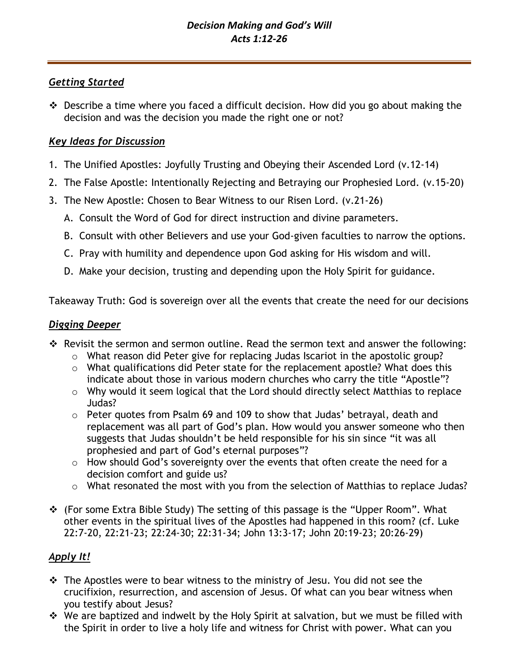## *Getting Started*

❖ Describe a time where you faced a difficult decision. How did you go about making the decision and was the decision you made the right one or not?

## *Key Ideas for Discussion*

- 1. The Unified Apostles: Joyfully Trusting and Obeying their Ascended Lord (v.12-14)
- 2. The False Apostle: Intentionally Rejecting and Betraying our Prophesied Lord. (v.15-20)
- 3. The New Apostle: Chosen to Bear Witness to our Risen Lord. (v.21-26)
	- A. Consult the Word of God for direct instruction and divine parameters.
	- B. Consult with other Believers and use your God-given faculties to narrow the options.
	- C. Pray with humility and dependence upon God asking for His wisdom and will.
	- D. Make your decision, trusting and depending upon the Holy Spirit for guidance.

Takeaway Truth: God is sovereign over all the events that create the need for our decisions

#### *Digging Deeper*

- ❖ Revisit the sermon and sermon outline. Read the sermon text and answer the following:
	- o What reason did Peter give for replacing Judas Iscariot in the apostolic group?
	- o What qualifications did Peter state for the replacement apostle? What does this indicate about those in various modern churches who carry the title "Apostle"?
	- o Why would it seem logical that the Lord should directly select Matthias to replace Judas?
	- o Peter quotes from Psalm 69 and 109 to show that Judas' betrayal, death and replacement was all part of God's plan. How would you answer someone who then suggests that Judas shouldn't be held responsible for his sin since "it was all prophesied and part of God's eternal purposes"?
	- o How should God's sovereignty over the events that often create the need for a decision comfort and guide us?
	- o What resonated the most with you from the selection of Matthias to replace Judas?
- ❖ (For some Extra Bible Study) The setting of this passage is the "Upper Room". What other events in the spiritual lives of the Apostles had happened in this room? (cf. Luke 22:7-20, 22:21-23; 22:24-30; 22:31-34; John 13:3-17; John 20:19-23; 20:26-29)

# *Apply It!*

- ❖ The Apostles were to bear witness to the ministry of Jesu. You did not see the crucifixion, resurrection, and ascension of Jesus. Of what can you bear witness when you testify about Jesus?
- ❖ We are baptized and indwelt by the Holy Spirit at salvation, but we must be filled with the Spirit in order to live a holy life and witness for Christ with power. What can you